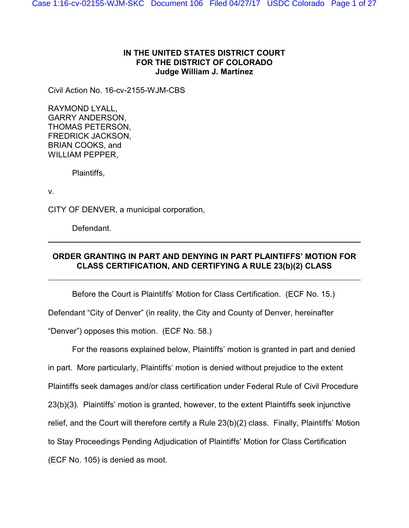## **IN THE UNITED STATES DISTRICT COURT FOR THE DISTRICT OF COLORADO Judge William J. Martínez**

Civil Action No. 16-cv-2155-WJM-CBS

RAYMOND LYALL, GARRY ANDERSON, THOMAS PETERSON, FREDRICK JACKSON, BRIAN COOKS, and WILLIAM PEPPER,

Plaintiffs,

v.

CITY OF DENVER, a municipal corporation,

Defendant.

# **ORDER GRANTING IN PART AND DENYING IN PART PLAINTIFFS' MOTION FOR CLASS CERTIFICATION, AND CERTIFYING A RULE 23(b)(2) CLASS**

Before the Court is Plaintiffs' Motion for Class Certification. (ECF No. 15.)

Defendant "City of Denver" (in reality, the City and County of Denver, hereinafter

"Denver") opposes this motion. (ECF No. 58.)

For the reasons explained below, Plaintiffs' motion is granted in part and denied in part. More particularly, Plaintiffs' motion is denied without prejudice to the extent Plaintiffs seek damages and/or class certification under Federal Rule of Civil Procedure 23(b)(3). Plaintiffs' motion is granted, however, to the extent Plaintiffs seek injunctive relief, and the Court will therefore certify a Rule 23(b)(2) class. Finally, Plaintiffs' Motion to Stay Proceedings Pending Adjudication of Plaintiffs' Motion for Class Certification (ECF No. 105) is denied as moot.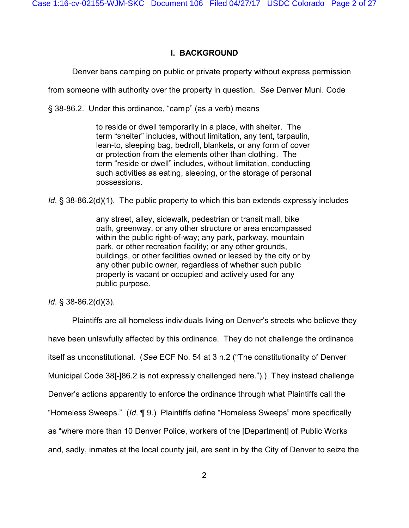# **I. BACKGROUND**

Denver bans camping on public or private property without express permission

from someone with authority over the property in question. *See* Denver Muni. Code

§ 38-86.2. Under this ordinance, "camp" (as a verb) means

to reside or dwell temporarily in a place, with shelter. The term "shelter" includes, without limitation, any tent, tarpaulin, lean-to, sleeping bag, bedroll, blankets, or any form of cover or protection from the elements other than clothing. The term "reside or dwell" includes, without limitation, conducting such activities as eating, sleeping, or the storage of personal possessions.

*Id*. § 38-86.2(d)(1). The public property to which this ban extends expressly includes

any street, alley, sidewalk, pedestrian or transit mall, bike path, greenway, or any other structure or area encompassed within the public right-of-way; any park, parkway, mountain park, or other recreation facility; or any other grounds, buildings, or other facilities owned or leased by the city or by any other public owner, regardless of whether such public property is vacant or occupied and actively used for any public purpose.

*Id*. § 38-86.2(d)(3).

Plaintiffs are all homeless individuals living on Denver's streets who believe they have been unlawfully affected by this ordinance. They do not challenge the ordinance itself as unconstitutional. (*See* ECF No. 54 at 3 n.2 ("The constitutionality of Denver Municipal Code 38[-]86.2 is not expressly challenged here.").) They instead challenge Denver's actions apparently to enforce the ordinance through what Plaintiffs call the "Homeless Sweeps." (*Id*. ¶ 9.) Plaintiffs define "Homeless Sweeps" more specifically as "where more than 10 Denver Police, workers of the [Department] of Public Works and, sadly, inmates at the local county jail, are sent in by the City of Denver to seize the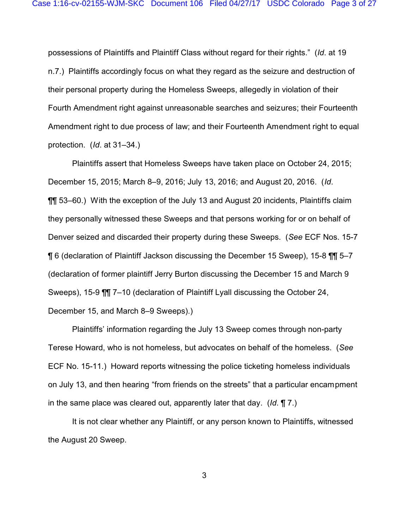possessions of Plaintiffs and Plaintiff Class without regard for their rights." (*Id*. at 19 n.7.) Plaintiffs accordingly focus on what they regard as the seizure and destruction of their personal property during the Homeless Sweeps, allegedly in violation of their Fourth Amendment right against unreasonable searches and seizures; their Fourteenth Amendment right to due process of law; and their Fourteenth Amendment right to equal protection. (*Id*. at 31–34.)

Plaintiffs assert that Homeless Sweeps have taken place on October 24, 2015; December 15, 2015; March 8–9, 2016; July 13, 2016; and August 20, 2016. (*Id*. ¶¶ 53–60.) With the exception of the July 13 and August 20 incidents, Plaintiffs claim they personally witnessed these Sweeps and that persons working for or on behalf of Denver seized and discarded their property during these Sweeps. (*See* ECF Nos. 15-7 ¶ 6 (declaration of Plaintiff Jackson discussing the December 15 Sweep), 15-8 ¶¶ 5–7 (declaration of former plaintiff Jerry Burton discussing the December 15 and March 9 Sweeps), 15-9 ¶¶ 7–10 (declaration of Plaintiff Lyall discussing the October 24, December 15, and March 8–9 Sweeps).)

Plaintiffs' information regarding the July 13 Sweep comes through non-party Terese Howard, who is not homeless, but advocates on behalf of the homeless. (*See* ECF No. 15-11.) Howard reports witnessing the police ticketing homeless individuals on July 13, and then hearing "from friends on the streets" that a particular encampment in the same place was cleared out, apparently later that day. (*Id*. ¶ 7.)

It is not clear whether any Plaintiff, or any person known to Plaintiffs, witnessed the August 20 Sweep.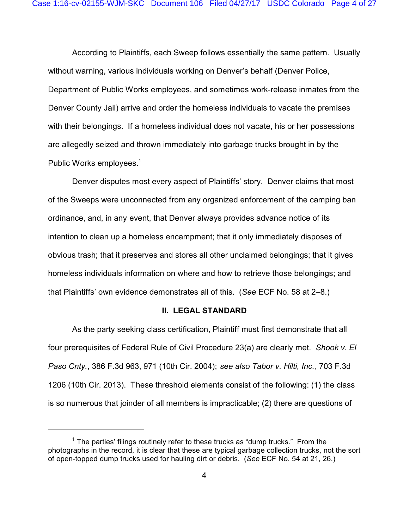According to Plaintiffs, each Sweep follows essentially the same pattern. Usually without warning, various individuals working on Denver's behalf (Denver Police, Department of Public Works employees, and sometimes work-release inmates from the Denver County Jail) arrive and order the homeless individuals to vacate the premises with their belongings. If a homeless individual does not vacate, his or her possessions are allegedly seized and thrown immediately into garbage trucks brought in by the Public Works employees.<sup>1</sup>

Denver disputes most every aspect of Plaintiffs' story. Denver claims that most of the Sweeps were unconnected from any organized enforcement of the camping ban ordinance, and, in any event, that Denver always provides advance notice of its intention to clean up a homeless encampment; that it only immediately disposes of obvious trash; that it preserves and stores all other unclaimed belongings; that it gives homeless individuals information on where and how to retrieve those belongings; and that Plaintiffs' own evidence demonstrates all of this. (*See* ECF No. 58 at 2–8.)

### **II. LEGAL STANDARD**

As the party seeking class certification, Plaintiff must first demonstrate that all four prerequisites of Federal Rule of Civil Procedure 23(a) are clearly met. *Shook v. El Paso Cnty.*, 386 F.3d 963, 971 (10th Cir. 2004); *see also Tabor v. Hilti, Inc.*, 703 F.3d 1206 (10th Cir. 2013). These threshold elements consist of the following: (1) the class is so numerous that joinder of all members is impracticable; (2) there are questions of

 $1$  The parties' filings routinely refer to these trucks as "dump trucks." From the photographs in the record, it is clear that these are typical garbage collection trucks, not the sort of open-topped dump trucks used for hauling dirt or debris. (*See* ECF No. 54 at 21, 26.)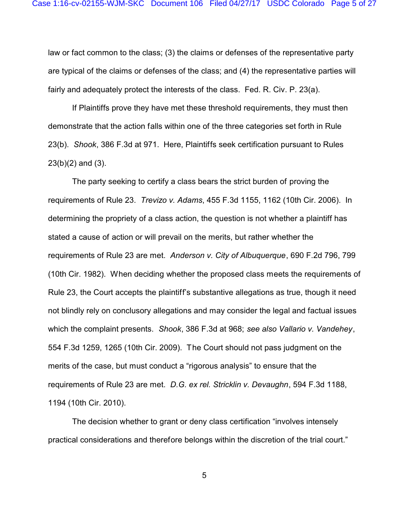law or fact common to the class; (3) the claims or defenses of the representative party are typical of the claims or defenses of the class; and (4) the representative parties will fairly and adequately protect the interests of the class. Fed. R. Civ. P. 23(a).

If Plaintiffs prove they have met these threshold requirements, they must then demonstrate that the action falls within one of the three categories set forth in Rule 23(b). *Shook*, 386 F.3d at 971. Here, Plaintiffs seek certification pursuant to Rules 23(b)(2) and (3).

The party seeking to certify a class bears the strict burden of proving the requirements of Rule 23. *Trevizo v. Adams*, 455 F.3d 1155, 1162 (10th Cir. 2006). In determining the propriety of a class action, the question is not whether a plaintiff has stated a cause of action or will prevail on the merits, but rather whether the requirements of Rule 23 are met. *Anderson v. City of Albuquerque*, 690 F.2d 796, 799 (10th Cir. 1982). When deciding whether the proposed class meets the requirements of Rule 23, the Court accepts the plaintiff's substantive allegations as true, though it need not blindly rely on conclusory allegations and may consider the legal and factual issues which the complaint presents. *Shook*, 386 F.3d at 968; *see also Vallario v. Vandehey*, 554 F.3d 1259, 1265 (10th Cir. 2009). The Court should not pass judgment on the merits of the case, but must conduct a "rigorous analysis" to ensure that the requirements of Rule 23 are met. *D.G. ex rel. Stricklin v. Devaughn*, 594 F.3d 1188, 1194 (10th Cir. 2010).

The decision whether to grant or deny class certification "involves intensely practical considerations and therefore belongs within the discretion of the trial court."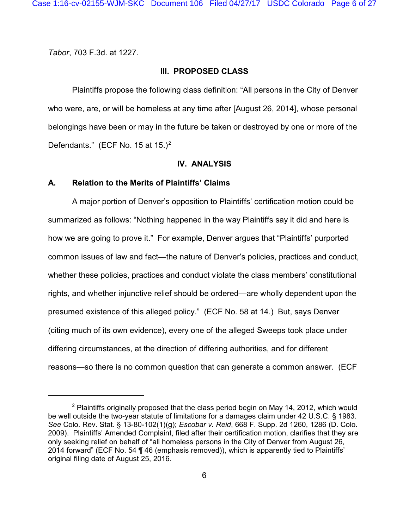*Tabor*, 703 F.3d. at 1227.

### **III. PROPOSED CLASS**

Plaintiffs propose the following class definition: "All persons in the City of Denver who were, are, or will be homeless at any time after [August 26, 2014], whose personal belongings have been or may in the future be taken or destroyed by one or more of the Defendants." (ECF No. 15 at  $15.$ )<sup>2</sup>

#### **IV. ANALYSIS**

### **A. Relation to the Merits of Plaintiffs' Claims**

A major portion of Denver's opposition to Plaintiffs' certification motion could be summarized as follows: "Nothing happened in the way Plaintiffs say it did and here is how we are going to prove it." For example, Denver argues that "Plaintiffs' purported common issues of law and fact—the nature of Denver's policies, practices and conduct, whether these policies, practices and conduct violate the class members' constitutional rights, and whether injunctive relief should be ordered—are wholly dependent upon the presumed existence of this alleged policy." (ECF No. 58 at 14.) But, says Denver (citing much of its own evidence), every one of the alleged Sweeps took place under differing circumstances, at the direction of differing authorities, and for different reasons—so there is no common question that can generate a common answer. (ECF

 $2$  Plaintiffs originally proposed that the class period begin on May 14, 2012, which would be well outside the two-year statute of limitations for a damages claim under 42 U.S.C. § 1983. *See* Colo. Rev. Stat. § 13-80-102(1)(g); *Escobar v. Reid*, 668 F. Supp. 2d 1260, 1286 (D. Colo. 2009). Plaintiffs' Amended Complaint, filed after their certification motion, clarifies that they are only seeking relief on behalf of "all homeless persons in the City of Denver from August 26, 2014 forward" (ECF No. 54 ¶ 46 (emphasis removed)), which is apparently tied to Plaintiffs' original filing date of August 25, 2016.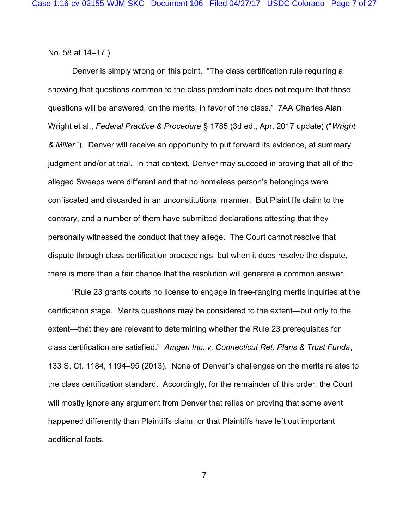No. 58 at 14–17.)

Denver is simply wrong on this point. "The class certification rule requiring a showing that questions common to the class predominate does not require that those questions will be answered, on the merits, in favor of the class." 7AA Charles Alan Wright et al., *Federal Practice & Procedure* § 1785 (3d ed., Apr. 2017 update) ("*Wright & Miller* "). Denver will receive an opportunity to put forward its evidence, at summary judgment and/or at trial. In that context, Denver may succeed in proving that all of the alleged Sweeps were different and that no homeless person's belongings were confiscated and discarded in an unconstitutional manner. But Plaintiffs claim to the contrary, and a number of them have submitted declarations attesting that they personally witnessed the conduct that they allege. The Court cannot resolve that dispute through class certification proceedings, but when it does resolve the dispute, there is more than a fair chance that the resolution will generate a common answer.

"Rule 23 grants courts no license to engage in free-ranging merits inquiries at the certification stage. Merits questions may be considered to the extent—but only to the extent—that they are relevant to determining whether the Rule 23 prerequisites for class certification are satisfied." *Amgen Inc. v. Connecticut Ret. Plans & Trust Funds*, 133 S. Ct. 1184, 1194–95 (2013). None of Denver's challenges on the merits relates to the class certification standard. Accordingly, for the remainder of this order, the Court will mostly ignore any argument from Denver that relies on proving that some event happened differently than Plaintiffs claim, or that Plaintiffs have left out important additional facts.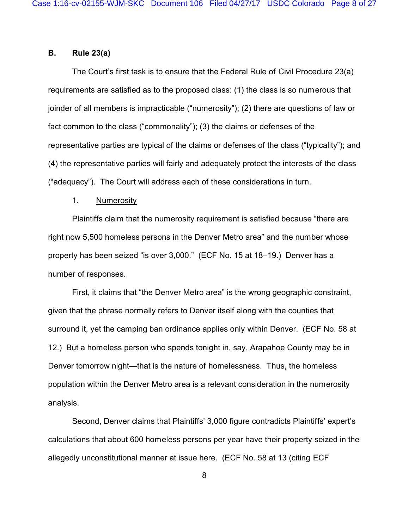### **B. Rule 23(a)**

The Court's first task is to ensure that the Federal Rule of Civil Procedure 23(a) requirements are satisfied as to the proposed class: (1) the class is so numerous that joinder of all members is impracticable ("numerosity"); (2) there are questions of law or fact common to the class ("commonality"); (3) the claims or defenses of the representative parties are typical of the claims or defenses of the class ("typicality"); and (4) the representative parties will fairly and adequately protect the interests of the class ("adequacy"). The Court will address each of these considerations in turn.

#### 1. Numerosity

Plaintiffs claim that the numerosity requirement is satisfied because "there are right now 5,500 homeless persons in the Denver Metro area" and the number whose property has been seized "is over 3,000." (ECF No. 15 at 18–19.) Denver has a number of responses.

First, it claims that "the Denver Metro area" is the wrong geographic constraint, given that the phrase normally refers to Denver itself along with the counties that surround it, yet the camping ban ordinance applies only within Denver. (ECF No. 58 at 12.) But a homeless person who spends tonight in, say, Arapahoe County may be in Denver tomorrow night—that is the nature of homelessness. Thus, the homeless population within the Denver Metro area is a relevant consideration in the numerosity analysis.

Second, Denver claims that Plaintiffs' 3,000 figure contradicts Plaintiffs' expert's calculations that about 600 homeless persons per year have their property seized in the allegedly unconstitutional manner at issue here. (ECF No. 58 at 13 (citing ECF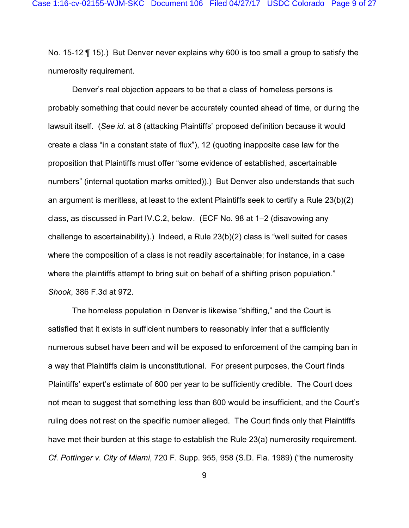No. 15-12 ¶ 15).) But Denver never explains why 600 is too small a group to satisfy the numerosity requirement.

Denver's real objection appears to be that a class of homeless persons is probably something that could never be accurately counted ahead of time, or during the lawsuit itself. (*See id*. at 8 (attacking Plaintiffs' proposed definition because it would create a class "in a constant state of flux"), 12 (quoting inapposite case law for the proposition that Plaintiffs must offer "some evidence of established, ascertainable numbers" (internal quotation marks omitted)).) But Denver also understands that such an argument is meritless, at least to the extent Plaintiffs seek to certify a Rule 23(b)(2) class, as discussed in Part IV.C.2, below. (ECF No. 98 at 1–2 (disavowing any challenge to ascertainability).) Indeed, a Rule 23(b)(2) class is "well suited for cases where the composition of a class is not readily ascertainable; for instance, in a case where the plaintiffs attempt to bring suit on behalf of a shifting prison population." *Shook*, 386 F.3d at 972.

The homeless population in Denver is likewise "shifting," and the Court is satisfied that it exists in sufficient numbers to reasonably infer that a sufficiently numerous subset have been and will be exposed to enforcement of the camping ban in a way that Plaintiffs claim is unconstitutional. For present purposes, the Court finds Plaintiffs' expert's estimate of 600 per year to be sufficiently credible. The Court does not mean to suggest that something less than 600 would be insufficient, and the Court's ruling does not rest on the specific number alleged. The Court finds only that Plaintiffs have met their burden at this stage to establish the Rule 23(a) numerosity requirement. *Cf*. *Pottinger v. City of Miami*, 720 F. Supp. 955, 958 (S.D. Fla. 1989) ("the numerosity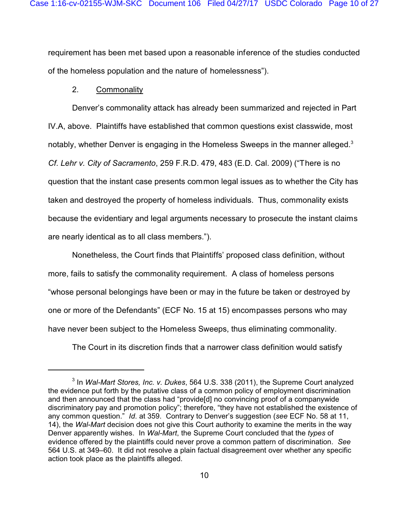requirement has been met based upon a reasonable inference of the studies conducted of the homeless population and the nature of homelessness").

### 2. Commonality

Denver's commonality attack has already been summarized and rejected in Part IV.A, above. Plaintiffs have established that common questions exist classwide, most notably, whether Denver is engaging in the Homeless Sweeps in the manner alleged.<sup>3</sup> *Cf*. *Lehr v. City of Sacramento*, 259 F.R.D. 479, 483 (E.D. Cal. 2009) ("There is no question that the instant case presents common legal issues as to whether the City has taken and destroyed the property of homeless individuals. Thus, commonality exists because the evidentiary and legal arguments necessary to prosecute the instant claims are nearly identical as to all class members.").

Nonetheless, the Court finds that Plaintiffs' proposed class definition, without more, fails to satisfy the commonality requirement. A class of homeless persons "whose personal belongings have been or may in the future be taken or destroyed by one or more of the Defendants" (ECF No. 15 at 15) encompasses persons who may have never been subject to the Homeless Sweeps, thus eliminating commonality.

The Court in its discretion finds that a narrower class definition would satisfy

<sup>3</sup> In *Wal-Mart Stores, Inc. v. Dukes*, 564 U.S. 338 (2011), the Supreme Court analyzed the evidence put forth by the putative class of a common policy of employment discrimination and then announced that the class had "provide[d] no convincing proof of a companywide discriminatory pay and promotion policy"; therefore, "they have not established the existence of any common question." *Id*. at 359. Contrary to Denver's suggestion (*see* ECF No. 58 at 11, 14), the *Wal-Mart* decision does not give this Court authority to examine the merits in the way Denver apparently wishes. In *Wal-Mart*, the Supreme Court concluded that the *types* of evidence offered by the plaintiffs could never prove a common pattern of discrimination. *See* 564 U.S. at 349–60. It did not resolve a plain factual disagreement over whether any specific action took place as the plaintiffs alleged.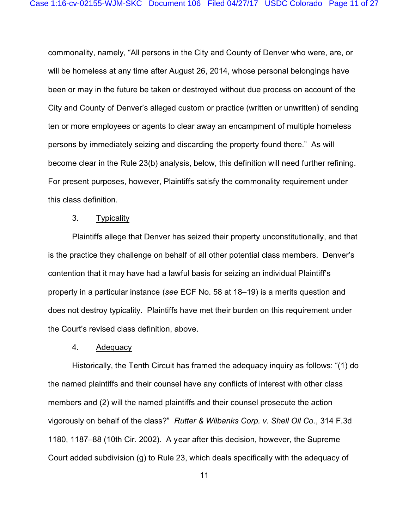commonality, namely, "All persons in the City and County of Denver who were, are, or will be homeless at any time after August 26, 2014, whose personal belongings have been or may in the future be taken or destroyed without due process on account of the City and County of Denver's alleged custom or practice (written or unwritten) of sending ten or more employees or agents to clear away an encampment of multiple homeless persons by immediately seizing and discarding the property found there." As will become clear in the Rule 23(b) analysis, below, this definition will need further refining. For present purposes, however, Plaintiffs satisfy the commonality requirement under this class definition.

### 3. Typicality

Plaintiffs allege that Denver has seized their property unconstitutionally, and that is the practice they challenge on behalf of all other potential class members. Denver's contention that it may have had a lawful basis for seizing an individual Plaintiff's property in a particular instance (*see* ECF No. 58 at 18–19) is a merits question and does not destroy typicality. Plaintiffs have met their burden on this requirement under the Court's revised class definition, above.

#### 4. Adequacy

Historically, the Tenth Circuit has framed the adequacy inquiry as follows: "(1) do the named plaintiffs and their counsel have any conflicts of interest with other class members and (2) will the named plaintiffs and their counsel prosecute the action vigorously on behalf of the class?" *Rutter & Wilbanks Corp. v. Shell Oil Co.*, 314 F.3d 1180, 1187–88 (10th Cir. 2002). A year after this decision, however, the Supreme Court added subdivision (g) to Rule 23, which deals specifically with the adequacy of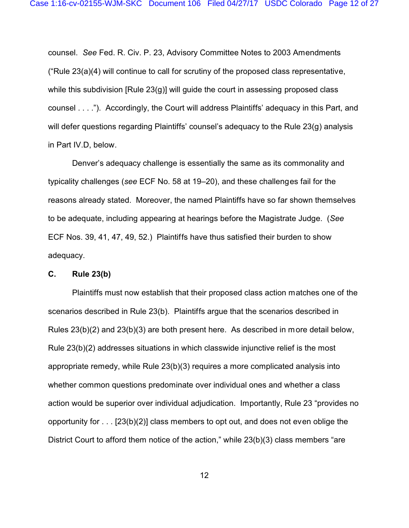counsel. *See* Fed. R. Civ. P. 23, Advisory Committee Notes to 2003 Amendments ("Rule 23(a)(4) will continue to call for scrutiny of the proposed class representative, while this subdivision [Rule 23(g)] will guide the court in assessing proposed class counsel . . . ."). Accordingly, the Court will address Plaintiffs' adequacy in this Part, and will defer questions regarding Plaintiffs' counsel's adequacy to the Rule 23(g) analysis in Part IV.D, below.

Denver's adequacy challenge is essentially the same as its commonality and typicality challenges (*see* ECF No. 58 at 19–20), and these challenges fail for the reasons already stated. Moreover, the named Plaintiffs have so far shown themselves to be adequate, including appearing at hearings before the Magistrate Judge. (*See* ECF Nos. 39, 41, 47, 49, 52.) Plaintiffs have thus satisfied their burden to show adequacy.

### **C. Rule 23(b)**

Plaintiffs must now establish that their proposed class action matches one of the scenarios described in Rule 23(b). Plaintiffs argue that the scenarios described in Rules 23(b)(2) and 23(b)(3) are both present here. As described in more detail below, Rule 23(b)(2) addresses situations in which classwide injunctive relief is the most appropriate remedy, while Rule 23(b)(3) requires a more complicated analysis into whether common questions predominate over individual ones and whether a class action would be superior over individual adjudication. Importantly, Rule 23 "provides no opportunity for . . . [23(b)(2)] class members to opt out, and does not even oblige the District Court to afford them notice of the action," while 23(b)(3) class members "are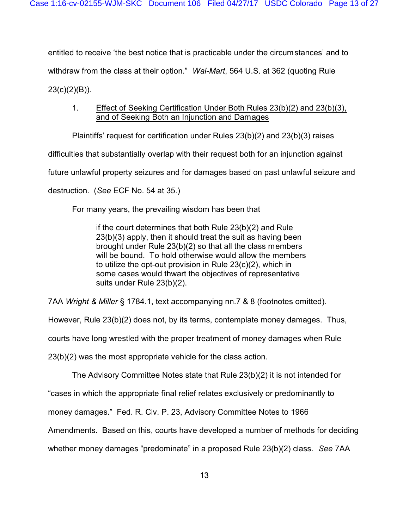entitled to receive 'the best notice that is practicable under the circumstances' and to withdraw from the class at their option." *Wal-Mart*, 564 U.S. at 362 (quoting Rule  $23(c)(2)(B)$ ).

# 1. Effect of Seeking Certification Under Both Rules 23(b)(2) and 23(b)(3), and of Seeking Both an Injunction and Damages

Plaintiffs' request for certification under Rules 23(b)(2) and 23(b)(3) raises

difficulties that substantially overlap with their request both for an injunction against

future unlawful property seizures and for damages based on past unlawful seizure and

destruction. (*See* ECF No. 54 at 35.)

For many years, the prevailing wisdom has been that

if the court determines that both Rule 23(b)(2) and Rule 23(b)(3) apply, then it should treat the suit as having been brought under Rule 23(b)(2) so that all the class members will be bound. To hold otherwise would allow the members to utilize the opt-out provision in Rule 23(c)(2), which in some cases would thwart the objectives of representative suits under Rule 23(b)(2).

7AA *Wright & Miller* § 1784.1, text accompanying nn.7 & 8 (footnotes omitted).

However, Rule 23(b)(2) does not, by its terms, contemplate money damages. Thus,

courts have long wrestled with the proper treatment of money damages when Rule

23(b)(2) was the most appropriate vehicle for the class action.

The Advisory Committee Notes state that Rule 23(b)(2) it is not intended for

"cases in which the appropriate final relief relates exclusively or predominantly to

money damages." Fed. R. Civ. P. 23, Advisory Committee Notes to 1966

Amendments. Based on this, courts have developed a number of methods for deciding

whether money damages "predominate" in a proposed Rule 23(b)(2) class. *See* 7AA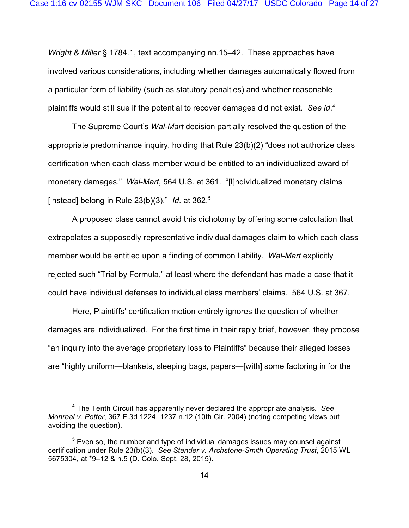*Wright & Miller* § 1784.1, text accompanying nn.15–42. These approaches have involved various considerations, including whether damages automatically flowed from a particular form of liability (such as statutory penalties) and whether reasonable plaintiffs would still sue if the potential to recover damages did not exist. *See id*. 4

The Supreme Court's *Wal-Mart* decision partially resolved the question of the appropriate predominance inquiry, holding that Rule 23(b)(2) "does not authorize class certification when each class member would be entitled to an individualized award of monetary damages." *Wal-Mart*, 564 U.S. at 361. "[I]ndividualized monetary claims [instead] belong in Rule 23(b)(3)." *Id*. at 362.<sup>5</sup>

A proposed class cannot avoid this dichotomy by offering some calculation that extrapolates a supposedly representative individual damages claim to which each class member would be entitled upon a finding of common liability. *Wal-Mart* explicitly rejected such "Trial by Formula," at least where the defendant has made a case that it could have individual defenses to individual class members' claims. 564 U.S. at 367.

Here, Plaintiffs' certification motion entirely ignores the question of whether damages are individualized. For the first time in their reply brief, however, they propose "an inquiry into the average proprietary loss to Plaintiffs" because their alleged losses are "highly uniform—blankets, sleeping bags, papers—[with] some factoring in for the

<sup>4</sup> The Tenth Circuit has apparently never declared the appropriate analysis. *See Monreal v. Potter*, 367 F.3d 1224, 1237 n.12 (10th Cir. 2004) (noting competing views but avoiding the question).

 $<sup>5</sup>$  Even so, the number and type of individual damages issues may counsel against</sup> certification under Rule 23(b)(3). *See Stender v. Archstone-Smith Operating Trust*, 2015 WL 5675304, at \*9–12 & n.5 (D. Colo. Sept. 28, 2015).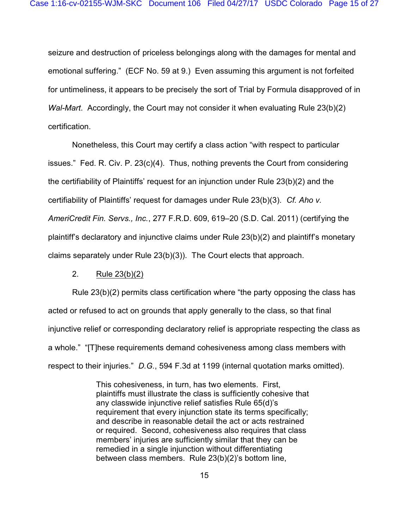seizure and destruction of priceless belongings along with the damages for mental and emotional suffering." (ECF No. 59 at 9.) Even assuming this argument is not forfeited for untimeliness, it appears to be precisely the sort of Trial by Formula disapproved of in *Wal-Mart*. Accordingly, the Court may not consider it when evaluating Rule 23(b)(2) certification.

Nonetheless, this Court may certify a class action "with respect to particular issues." Fed. R. Civ. P. 23(c)(4). Thus, nothing prevents the Court from considering the certifiability of Plaintiffs' request for an injunction under Rule 23(b)(2) and the certifiability of Plaintiffs' request for damages under Rule 23(b)(3). *Cf. Aho v. AmeriCredit Fin. Servs., Inc.*, 277 F.R.D. 609, 619–20 (S.D. Cal. 2011) (certifying the plaintiff's declaratory and injunctive claims under Rule 23(b)(2) and plaintiff's monetary claims separately under Rule 23(b)(3)). The Court elects that approach.

### 2. Rule 23(b)(2)

Rule 23(b)(2) permits class certification where "the party opposing the class has acted or refused to act on grounds that apply generally to the class, so that final injunctive relief or corresponding declaratory relief is appropriate respecting the class as a whole." "[T]hese requirements demand cohesiveness among class members with respect to their injuries." *D.G.*, 594 F.3d at 1199 (internal quotation marks omitted).

> This cohesiveness, in turn, has two elements. First, plaintiffs must illustrate the class is sufficiently cohesive that any classwide injunctive relief satisfies Rule 65(d)'s requirement that every injunction state its terms specifically; and describe in reasonable detail the act or acts restrained or required. Second, cohesiveness also requires that class members' injuries are sufficiently similar that they can be remedied in a single injunction without differentiating between class members. Rule 23(b)(2)'s bottom line,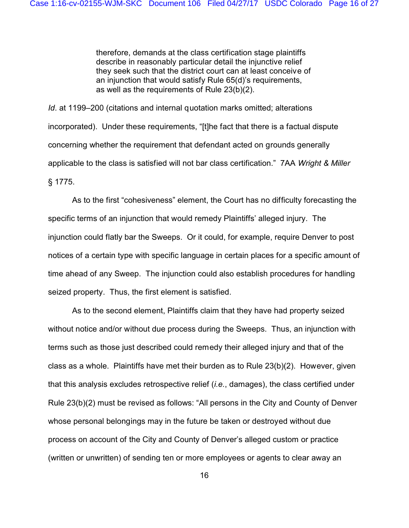therefore, demands at the class certification stage plaintiffs describe in reasonably particular detail the injunctive relief they seek such that the district court can at least conceive of an injunction that would satisfy Rule 65(d)'s requirements, as well as the requirements of Rule 23(b)(2).

*Id.* at 1199–200 (citations and internal quotation marks omitted; alterations incorporated). Under these requirements, "[t]he fact that there is a factual dispute concerning whether the requirement that defendant acted on grounds generally applicable to the class is satisfied will not bar class certification." 7AA *Wright & Miller* § 1775.

As to the first "cohesiveness" element, the Court has no difficulty forecasting the specific terms of an injunction that would remedy Plaintiffs' alleged injury. The injunction could flatly bar the Sweeps. Or it could, for example, require Denver to post notices of a certain type with specific language in certain places for a specific amount of time ahead of any Sweep. The injunction could also establish procedures for handling seized property. Thus, the first element is satisfied.

As to the second element, Plaintiffs claim that they have had property seized without notice and/or without due process during the Sweeps. Thus, an injunction with terms such as those just described could remedy their alleged injury and that of the class as a whole. Plaintiffs have met their burden as to Rule 23(b)(2). However, given that this analysis excludes retrospective relief (*i.e.*, damages), the class certified under Rule 23(b)(2) must be revised as follows: "All persons in the City and County of Denver whose personal belongings may in the future be taken or destroyed without due process on account of the City and County of Denver's alleged custom or practice (written or unwritten) of sending ten or more employees or agents to clear away an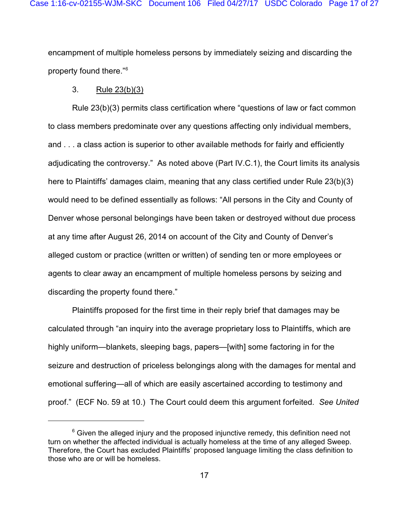encampment of multiple homeless persons by immediately seizing and discarding the property found there."<sup>6</sup>

### 3. Rule 23(b)(3)

Rule 23(b)(3) permits class certification where "questions of law or fact common to class members predominate over any questions affecting only individual members, and . . . a class action is superior to other available methods for fairly and efficiently adjudicating the controversy." As noted above (Part IV.C.1), the Court limits its analysis here to Plaintiffs' damages claim, meaning that any class certified under Rule 23(b)(3) would need to be defined essentially as follows: "All persons in the City and County of Denver whose personal belongings have been taken or destroyed without due process at any time after August 26, 2014 on account of the City and County of Denver's alleged custom or practice (written or written) of sending ten or more employees or agents to clear away an encampment of multiple homeless persons by seizing and discarding the property found there."

Plaintiffs proposed for the first time in their reply brief that damages may be calculated through "an inquiry into the average proprietary loss to Plaintiffs, which are highly uniform—blankets, sleeping bags, papers—[with] some factoring in for the seizure and destruction of priceless belongings along with the damages for mental and emotional suffering—all of which are easily ascertained according to testimony and proof." (ECF No. 59 at 10.) The Court could deem this argument forfeited. *See United*

 $6$  Given the alleged injury and the proposed injunctive remedy, this definition need not turn on whether the affected individual is actually homeless at the time of any alleged Sweep. Therefore, the Court has excluded Plaintiffs' proposed language limiting the class definition to those who are or will be homeless.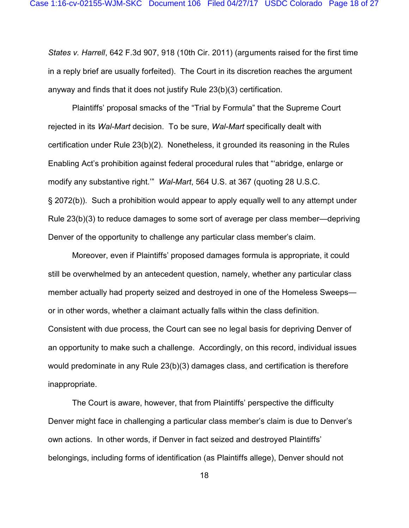*States v. Harrell*, 642 F.3d 907, 918 (10th Cir. 2011) (arguments raised for the first time in a reply brief are usually forfeited). The Court in its discretion reaches the argument anyway and finds that it does not justify Rule 23(b)(3) certification.

Plaintiffs' proposal smacks of the "Trial by Formula" that the Supreme Court rejected in its *Wal-Mart* decision. To be sure, *Wal-Mart* specifically dealt with certification under Rule 23(b)(2). Nonetheless, it grounded its reasoning in the Rules Enabling Act's prohibition against federal procedural rules that "'abridge, enlarge or modify any substantive right.'" *Wal-Mart*, 564 U.S. at 367 (quoting 28 U.S.C. § 2072(b)). Such a prohibition would appear to apply equally well to any attempt under Rule 23(b)(3) to reduce damages to some sort of average per class member—depriving Denver of the opportunity to challenge any particular class member's claim.

Moreover, even if Plaintiffs' proposed damages formula is appropriate, it could still be overwhelmed by an antecedent question, namely, whether any particular class member actually had property seized and destroyed in one of the Homeless Sweeps or in other words, whether a claimant actually falls within the class definition. Consistent with due process, the Court can see no legal basis for depriving Denver of an opportunity to make such a challenge. Accordingly, on this record, individual issues would predominate in any Rule 23(b)(3) damages class, and certification is therefore inappropriate.

The Court is aware, however, that from Plaintiffs' perspective the difficulty Denver might face in challenging a particular class member's claim is due to Denver's own actions. In other words, if Denver in fact seized and destroyed Plaintiffs' belongings, including forms of identification (as Plaintiffs allege), Denver should not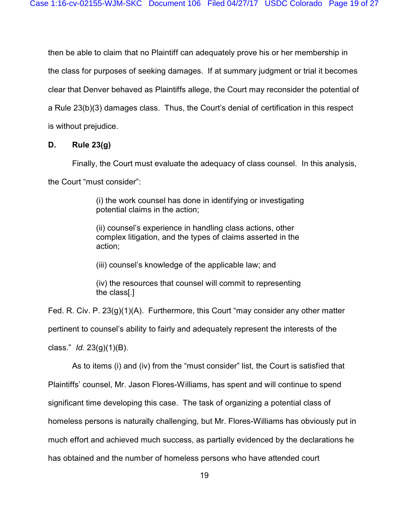then be able to claim that no Plaintiff can adequately prove his or her membership in the class for purposes of seeking damages. If at summary judgment or trial it becomes clear that Denver behaved as Plaintiffs allege, the Court may reconsider the potential of a Rule 23(b)(3) damages class. Thus, the Court's denial of certification in this respect is without prejudice.

### **D. Rule 23(g)**

Finally, the Court must evaluate the adequacy of class counsel. In this analysis,

the Court "must consider":

(i) the work counsel has done in identifying or investigating potential claims in the action;

(ii) counsel's experience in handling class actions, other complex litigation, and the types of claims asserted in the action;

(iii) counsel's knowledge of the applicable law; and

(iv) the resources that counsel will commit to representing the class[.]

Fed. R. Civ. P. 23(g)(1)(A). Furthermore, this Court "may consider any other matter pertinent to counsel's ability to fairly and adequately represent the interests of the class." *Id.* 23(g)(1)(B).

As to items (i) and (iv) from the "must consider" list, the Court is satisfied that Plaintiffs' counsel, Mr. Jason Flores-Williams, has spent and will continue to spend significant time developing this case. The task of organizing a potential class of homeless persons is naturally challenging, but Mr. Flores-Williams has obviously put in much effort and achieved much success, as partially evidenced by the declarations he has obtained and the number of homeless persons who have attended court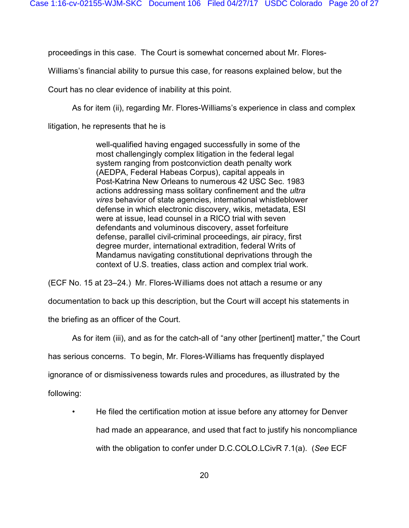proceedings in this case. The Court is somewhat concerned about Mr. Flores-

Williams's financial ability to pursue this case, for reasons explained below, but the

Court has no clear evidence of inability at this point.

As for item (ii), regarding Mr. Flores-Williams's experience in class and complex

litigation, he represents that he is

well-qualified having engaged successfully in some of the most challengingly complex litigation in the federal legal system ranging from postconviction death penalty work (AEDPA, Federal Habeas Corpus), capital appeals in Post-Katrina New Orleans to numerous 42 USC Sec. 1983 actions addressing mass solitary confinement and the *ultra vires* behavior of state agencies, international whistleblower defense in which electronic discovery, wikis, metadata, ESI were at issue, lead counsel in a RICO trial with seven defendants and voluminous discovery, asset forfeiture defense, parallel civil-criminal proceedings, air piracy, first degree murder, international extradition, federal Writs of Mandamus navigating constitutional deprivations through the context of U.S. treaties, class action and complex trial work.

(ECF No. 15 at 23–24.) Mr. Flores-Williams does not attach a resume or any

documentation to back up this description, but the Court will accept his statements in

the briefing as an officer of the Court.

As for item (iii), and as for the catch-all of "any other [pertinent] matter," the Court

has serious concerns. To begin, Mr. Flores-Williams has frequently displayed

ignorance of or dismissiveness towards rules and procedures, as illustrated by the

following:

• He filed the certification motion at issue before any attorney for Denver had made an appearance, and used that fact to justify his noncompliance with the obligation to confer under D.C.COLO.LCivR 7.1(a). (*See* ECF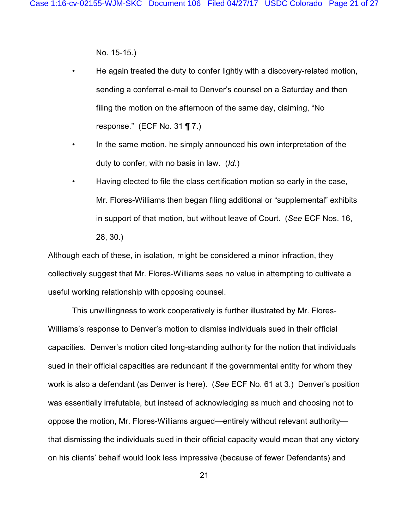No. 15-15.)

- He again treated the duty to confer lightly with a discovery-related motion, sending a conferral e-mail to Denver's counsel on a Saturday and then filing the motion on the afternoon of the same day, claiming, "No response." (ECF No. 31 ¶ 7.)
- In the same motion, he simply announced his own interpretation of the duty to confer, with no basis in law. (*Id*.)
- Having elected to file the class certification motion so early in the case, Mr. Flores-Williams then began filing additional or "supplemental" exhibits in support of that motion, but without leave of Court. (*See* ECF Nos. 16, 28, 30.)

Although each of these, in isolation, might be considered a minor infraction, they collectively suggest that Mr. Flores-Williams sees no value in attempting to cultivate a useful working relationship with opposing counsel.

This unwillingness to work cooperatively is further illustrated by Mr. Flores-Williams's response to Denver's motion to dismiss individuals sued in their official capacities. Denver's motion cited long-standing authority for the notion that individuals sued in their official capacities are redundant if the governmental entity for whom they work is also a defendant (as Denver is here). (*See* ECF No. 61 at 3.) Denver's position was essentially irrefutable, but instead of acknowledging as much and choosing not to oppose the motion, Mr. Flores-Williams argued—entirely without relevant authority that dismissing the individuals sued in their official capacity would mean that any victory on his clients' behalf would look less impressive (because of fewer Defendants) and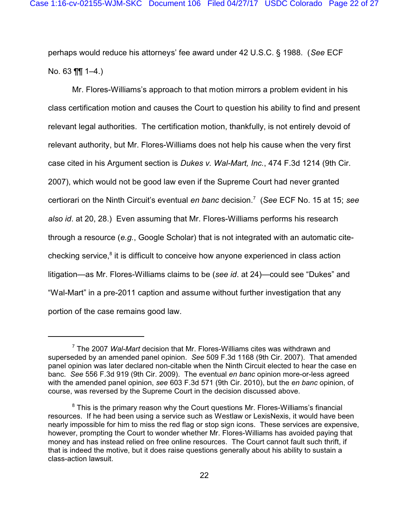perhaps would reduce his attorneys' fee award under 42 U.S.C. § 1988. (*See* ECF No. 63 ¶¶ 1–4.)

Mr. Flores-Williams's approach to that motion mirrors a problem evident in his class certification motion and causes the Court to question his ability to find and present relevant legal authorities. The certification motion, thankfully, is not entirely devoid of relevant authority, but Mr. Flores-Williams does not help his cause when the very first case cited in his Argument section is *Dukes v. Wal-Mart, Inc.*, 474 F.3d 1214 (9th Cir. 2007), which would not be good law even if the Supreme Court had never granted certiorari on the Ninth Circuit's eventual *en banc* decision.<sup>7</sup> (*See* ECF No. 15 at 15; *see also id*. at 20, 28.) Even assuming that Mr. Flores-Williams performs his research through a resource (*e.g.*, Google Scholar) that is not integrated with an automatic citechecking service, $8$  it is difficult to conceive how anyone experienced in class action litigation—as Mr. Flores-Williams claims to be (*see id*. at 24)—could see "Dukes" and "Wal-Mart" in a pre-2011 caption and assume without further investigation that any portion of the case remains good law.

<sup>7</sup> The 2007 *Wal-Mart* decision that Mr. Flores-Williams cites was withdrawn and superseded by an amended panel opinion. *See* 509 F.3d 1168 (9th Cir. 2007). That amended panel opinion was later declared non-citable when the Ninth Circuit elected to hear the case en banc. *See* 556 F.3d 919 (9th Cir. 2009). The eventual *en banc* opinion more-or-less agreed with the amended panel opinion, *see* 603 F.3d 571 (9th Cir. 2010), but the *en banc* opinion, of course, was reversed by the Supreme Court in the decision discussed above.

 $^8$  This is the primary reason why the Court questions Mr. Flores-Williams's financial resources. If he had been using a service such as Westlaw or LexisNexis, it would have been nearly impossible for him to miss the red flag or stop sign icons. These services are expensive, however, prompting the Court to wonder whether Mr. Flores-Williams has avoided paying that money and has instead relied on free online resources. The Court cannot fault such thrift, if that is indeed the motive, but it does raise questions generally about his ability to sustain a class-action lawsuit.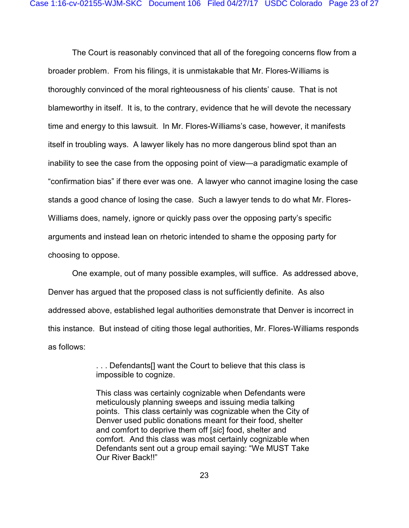The Court is reasonably convinced that all of the foregoing concerns flow from a broader problem. From his filings, it is unmistakable that Mr. Flores-Williams is thoroughly convinced of the moral righteousness of his clients' cause. That is not blameworthy in itself. It is, to the contrary, evidence that he will devote the necessary time and energy to this lawsuit. In Mr. Flores-Williams's case, however, it manifests itself in troubling ways. A lawyer likely has no more dangerous blind spot than an inability to see the case from the opposing point of view—a paradigmatic example of "confirmation bias" if there ever was one. A lawyer who cannot imagine losing the case stands a good chance of losing the case. Such a lawyer tends to do what Mr. Flores-Williams does, namely, ignore or quickly pass over the opposing party's specific arguments and instead lean on rhetoric intended to shame the opposing party for choosing to oppose.

One example, out of many possible examples, will suffice. As addressed above, Denver has argued that the proposed class is not sufficiently definite. As also addressed above, established legal authorities demonstrate that Denver is incorrect in this instance. But instead of citing those legal authorities, Mr. Flores-Williams responds as follows:

> . . . Defendants[] want the Court to believe that this class is impossible to cognize.

This class was certainly cognizable when Defendants were meticulously planning sweeps and issuing media talking points. This class certainly was cognizable when the City of Denver used public donations meant for their food, shelter and comfort to deprive them off [*sic*] food, shelter and comfort. And this class was most certainly cognizable when Defendants sent out a group email saying: "We MUST Take Our River Back!!"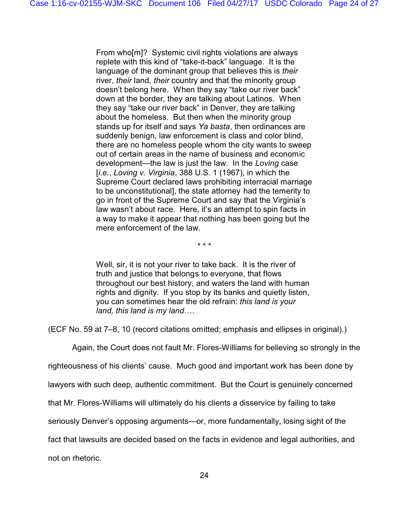From who[m]? Systemic civil rights violations are always replete with this kind of "take-it-back" language. It is the language of the dominant group that believes this is *their* river, *their* land, *their* country and that the minority group doesn't belong here. When they say "take our river back" down at the border, they are talking about Latinos. When they say "take our river back" in Denver, they are talking about the homeless. But then when the minority group stands up for itself and says *Ya basta*, then ordinances are suddenly benign, law enforcement is class and color blind, there are no homeless people whom the city wants to sweep out of certain areas in the name of business and economic development—the law is just the law. In the *Loving* case [*i.e.*, *Loving v. Virginia*, 388 U.S. 1 (1967), in which the Supreme Court declared laws prohibiting interracial marriage to be unconstitutional], the state attorney had the temerity to go in front of the Supreme Court and say that the Virginia's law wasn't about race. Here, it's an attempt to spin facts in a way to make it appear that nothing has been going but the mere enforcement of the law.

\* \* \*

Well, sir, it is not your river to take back. It is the river of truth and justice that belongs to everyone, that flows throughout our best history, and waters the land with human rights and dignity. If you stop by its banks and quietly listen, you can sometimes hear the old refrain: *this land is your land, this land is my land*….

(ECF No. 59 at 7–8, 10 (record citations omitted; emphasis and ellipses in original).)

Again, the Court does not fault Mr. Flores-Williams for believing so strongly in the

righteousness of his clients' cause. Much good and important work has been done by

lawyers with such deep, authentic commitment. But the Court is genuinely concerned

that Mr. Flores-Williams will ultimately do his clients a disservice by failing to take

seriously Denver's opposing arguments—or, more fundamentally, losing sight of the

fact that lawsuits are decided based on the facts in evidence and legal authorities, and

not on rhetoric.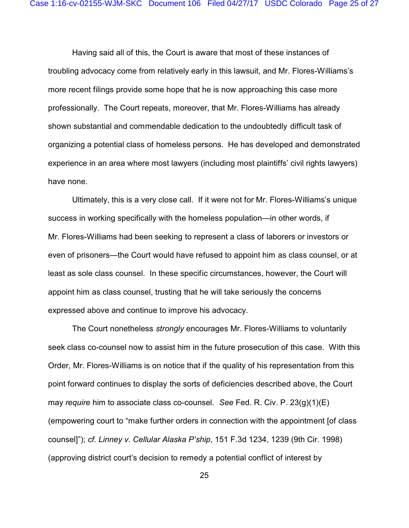Having said all of this, the Court is aware that most of these instances of troubling advocacy come from relatively early in this lawsuit, and Mr. Flores-Williams's more recent filings provide some hope that he is now approaching this case more professionally. The Court repeats, moreover, that Mr. Flores-Williams has already shown substantial and commendable dedication to the undoubtedly difficult task of organizing a potential class of homeless persons. He has developed and demonstrated experience in an area where most lawyers (including most plaintiffs' civil rights lawyers) have none.

Ultimately, this is a very close call. If it were not for Mr. Flores-Williams's unique success in working specifically with the homeless population—in other words, if Mr. Flores-Williams had been seeking to represent a class of laborers or investors or even of prisoners—the Court would have refused to appoint him as class counsel, or at least as sole class counsel. In these specific circumstances, however, the Court will appoint him as class counsel, trusting that he will take seriously the concerns expressed above and continue to improve his advocacy.

The Court nonetheless *strongly* encourages Mr. Flores-Williams to voluntarily seek class co-counsel now to assist him in the future prosecution of this case. With this Order, Mr. Flores-Williams is on notice that if the quality of his representation from this point forward continues to display the sorts of deficiencies described above, the Court may *require* him to associate class co-counsel. *See* Fed. R. Civ. P. 23(g)(1)(E) (empowering court to "make further orders in connection with the appointment [of class counsel]"); *cf*. *Linney v. Cellular Alaska P'ship*, 151 F.3d 1234, 1239 (9th Cir. 1998) (approving district court's decision to remedy a potential conflict of interest by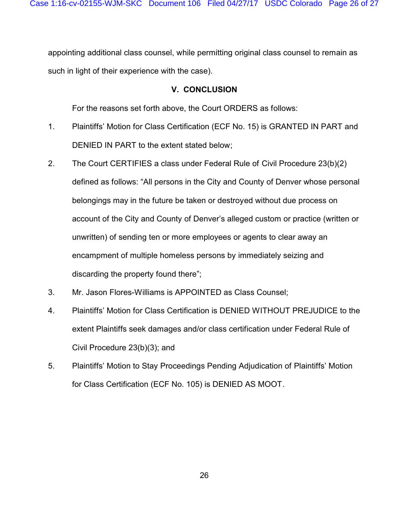appointing additional class counsel, while permitting original class counsel to remain as such in light of their experience with the case).

### **V. CONCLUSION**

For the reasons set forth above, the Court ORDERS as follows:

- 1. Plaintiffs' Motion for Class Certification (ECF No. 15) is GRANTED IN PART and DENIED IN PART to the extent stated below;
- 2. The Court CERTIFIES a class under Federal Rule of Civil Procedure 23(b)(2) defined as follows: "All persons in the City and County of Denver whose personal belongings may in the future be taken or destroyed without due process on account of the City and County of Denver's alleged custom or practice (written or unwritten) of sending ten or more employees or agents to clear away an encampment of multiple homeless persons by immediately seizing and discarding the property found there";
- 3. Mr. Jason Flores-Williams is APPOINTED as Class Counsel;
- 4. Plaintiffs' Motion for Class Certification is DENIED WITHOUT PREJUDICE to the extent Plaintiffs seek damages and/or class certification under Federal Rule of Civil Procedure 23(b)(3); and
- 5. Plaintiffs' Motion to Stay Proceedings Pending Adjudication of Plaintiffs' Motion for Class Certification (ECF No. 105) is DENIED AS MOOT.